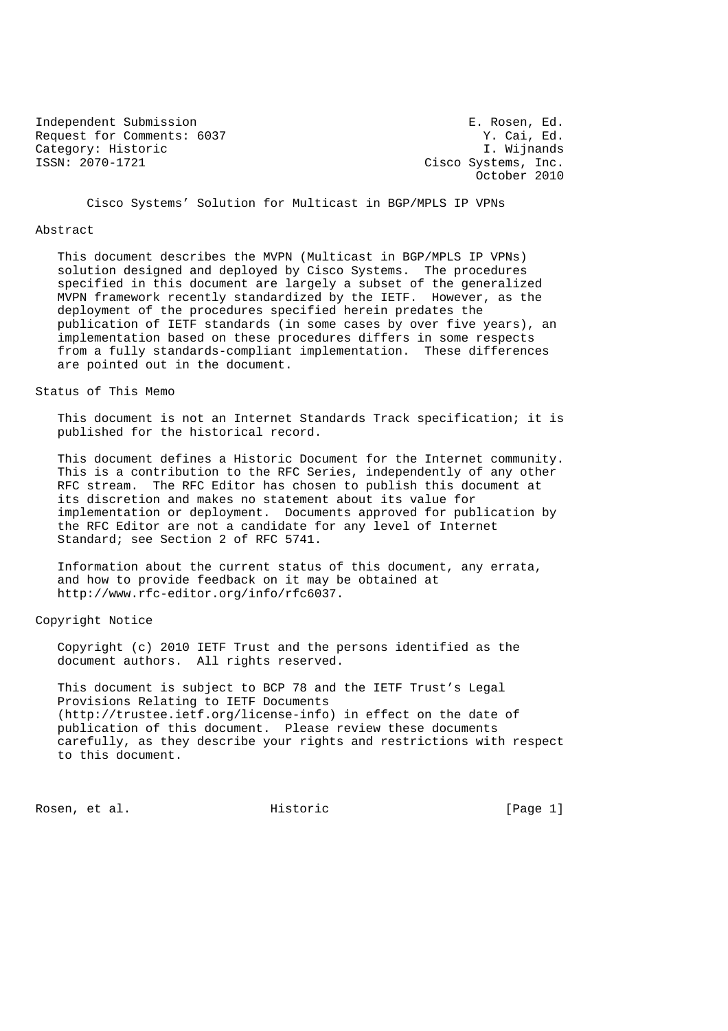Independent Submission E. Rosen, Ed. Request for Comments: 6037 Y. Cai, Ed. (2014) Properties and Marian States of T. Wijnands Category: Historic<br>ISSN: 2070-1721

Cisco Systems, Inc. October 2010

Cisco Systems' Solution for Multicast in BGP/MPLS IP VPNs

#### Abstract

 This document describes the MVPN (Multicast in BGP/MPLS IP VPNs) solution designed and deployed by Cisco Systems. The procedures specified in this document are largely a subset of the generalized MVPN framework recently standardized by the IETF. However, as the deployment of the procedures specified herein predates the publication of IETF standards (in some cases by over five years), an implementation based on these procedures differs in some respects from a fully standards-compliant implementation. These differences are pointed out in the document.

## Status of This Memo

 This document is not an Internet Standards Track specification; it is published for the historical record.

 This document defines a Historic Document for the Internet community. This is a contribution to the RFC Series, independently of any other RFC stream. The RFC Editor has chosen to publish this document at its discretion and makes no statement about its value for implementation or deployment. Documents approved for publication by the RFC Editor are not a candidate for any level of Internet Standard; see Section 2 of RFC 5741.

 Information about the current status of this document, any errata, and how to provide feedback on it may be obtained at http://www.rfc-editor.org/info/rfc6037.

Copyright Notice

 Copyright (c) 2010 IETF Trust and the persons identified as the document authors. All rights reserved.

 This document is subject to BCP 78 and the IETF Trust's Legal Provisions Relating to IETF Documents (http://trustee.ietf.org/license-info) in effect on the date of publication of this document. Please review these documents carefully, as they describe your rights and restrictions with respect to this document.

Rosen, et al. Historic [Page 1]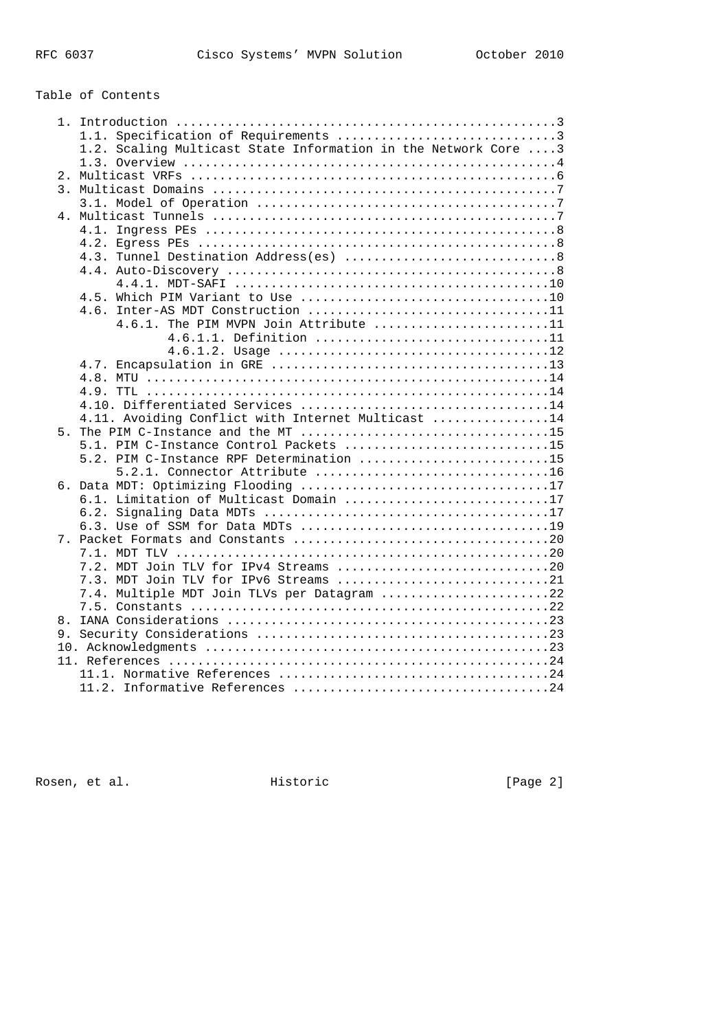# Table of Contents

|                  | 1.2. Scaling Multicast State Information in the Network Core 3 |
|------------------|----------------------------------------------------------------|
|                  |                                                                |
|                  |                                                                |
| $\overline{3}$ . |                                                                |
|                  |                                                                |
|                  |                                                                |
|                  |                                                                |
|                  |                                                                |
|                  |                                                                |
|                  |                                                                |
|                  |                                                                |
|                  |                                                                |
|                  | 4.6. Inter-AS MDT Construction 11                              |
|                  | 4.6.1. The PIM MVPN Join Attribute 11                          |
|                  | 4.6.1.1. Definition 11                                         |
|                  |                                                                |
|                  |                                                                |
|                  |                                                                |
|                  |                                                                |
|                  | 4.10. Differentiated Services 14                               |
|                  | 4.11. Avoiding Conflict with Internet Multicast 14             |
|                  |                                                                |
|                  | 5.1. PIM C-Instance Control Packets 15                         |
|                  | 5.2. PIM C-Instance RPF Determination 15                       |
|                  |                                                                |
|                  |                                                                |
|                  | 6.1. Limitation of Multicast Domain 17                         |
|                  |                                                                |
|                  |                                                                |
|                  |                                                                |
|                  |                                                                |
|                  | 7.2. MDT Join TLV for IPv4 Streams 20                          |
|                  | 7.3. MDT Join TLV for IPv6 Streams 21                          |
|                  | 7.4. Multiple MDT Join TLVs per Datagram 22                    |
|                  |                                                                |
|                  |                                                                |
|                  |                                                                |
|                  |                                                                |
|                  |                                                                |
|                  |                                                                |
|                  |                                                                |

Rosen, et al. The extension of the Historic Contract (Page 2)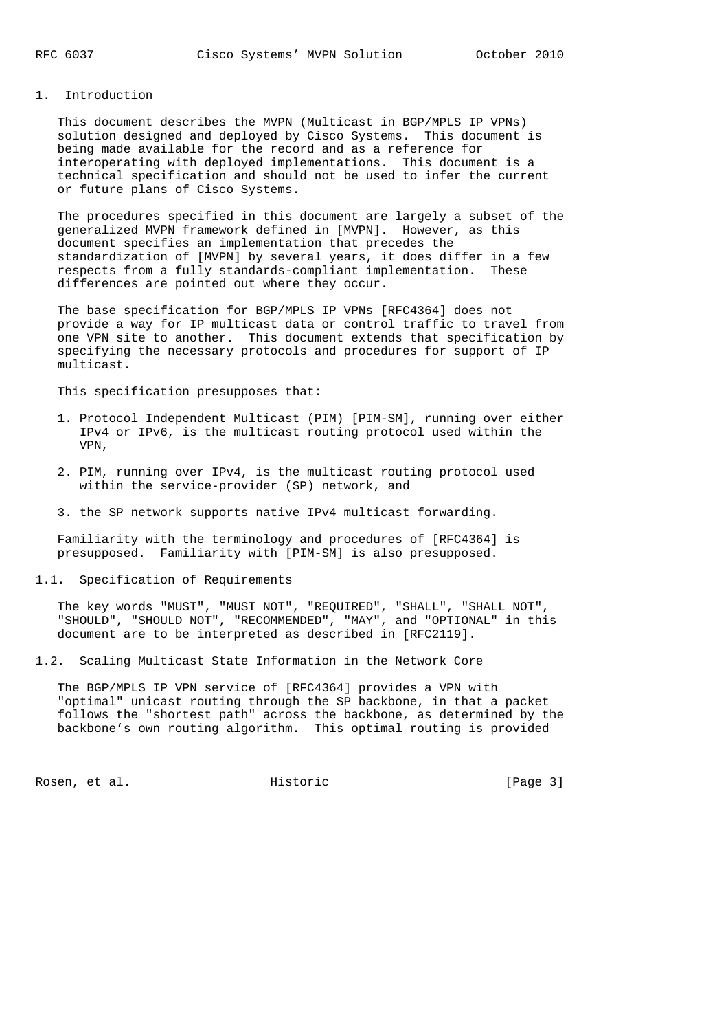#### 1. Introduction

 This document describes the MVPN (Multicast in BGP/MPLS IP VPNs) solution designed and deployed by Cisco Systems. This document is being made available for the record and as a reference for interoperating with deployed implementations. This document is a technical specification and should not be used to infer the current or future plans of Cisco Systems.

 The procedures specified in this document are largely a subset of the generalized MVPN framework defined in [MVPN]. However, as this document specifies an implementation that precedes the standardization of [MVPN] by several years, it does differ in a few respects from a fully standards-compliant implementation. These differences are pointed out where they occur.

 The base specification for BGP/MPLS IP VPNs [RFC4364] does not provide a way for IP multicast data or control traffic to travel from one VPN site to another. This document extends that specification by specifying the necessary protocols and procedures for support of IP multicast.

This specification presupposes that:

- 1. Protocol Independent Multicast (PIM) [PIM-SM], running over either IPv4 or IPv6, is the multicast routing protocol used within the VPN,
- 2. PIM, running over IPv4, is the multicast routing protocol used within the service-provider (SP) network, and
- 3. the SP network supports native IPv4 multicast forwarding.

 Familiarity with the terminology and procedures of [RFC4364] is presupposed. Familiarity with [PIM-SM] is also presupposed.

1.1. Specification of Requirements

 The key words "MUST", "MUST NOT", "REQUIRED", "SHALL", "SHALL NOT", "SHOULD", "SHOULD NOT", "RECOMMENDED", "MAY", and "OPTIONAL" in this document are to be interpreted as described in [RFC2119].

1.2. Scaling Multicast State Information in the Network Core

 The BGP/MPLS IP VPN service of [RFC4364] provides a VPN with "optimal" unicast routing through the SP backbone, in that a packet follows the "shortest path" across the backbone, as determined by the backbone's own routing algorithm. This optimal routing is provided

Rosen, et al. Historic [Page 3]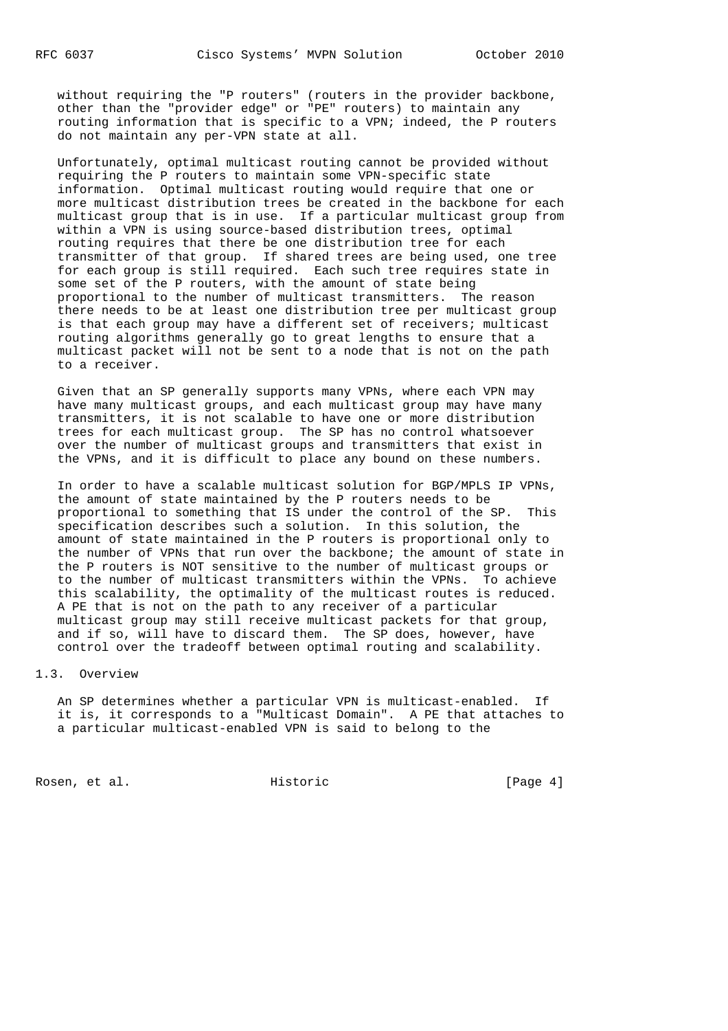without requiring the "P routers" (routers in the provider backbone, other than the "provider edge" or "PE" routers) to maintain any routing information that is specific to a VPN; indeed, the P routers do not maintain any per-VPN state at all.

 Unfortunately, optimal multicast routing cannot be provided without requiring the P routers to maintain some VPN-specific state information. Optimal multicast routing would require that one or more multicast distribution trees be created in the backbone for each multicast group that is in use. If a particular multicast group from within a VPN is using source-based distribution trees, optimal routing requires that there be one distribution tree for each transmitter of that group. If shared trees are being used, one tree for each group is still required. Each such tree requires state in some set of the P routers, with the amount of state being proportional to the number of multicast transmitters. The reason there needs to be at least one distribution tree per multicast group is that each group may have a different set of receivers; multicast routing algorithms generally go to great lengths to ensure that a multicast packet will not be sent to a node that is not on the path to a receiver.

 Given that an SP generally supports many VPNs, where each VPN may have many multicast groups, and each multicast group may have many transmitters, it is not scalable to have one or more distribution trees for each multicast group. The SP has no control whatsoever over the number of multicast groups and transmitters that exist in the VPNs, and it is difficult to place any bound on these numbers.

 In order to have a scalable multicast solution for BGP/MPLS IP VPNs, the amount of state maintained by the P routers needs to be proportional to something that IS under the control of the SP. This specification describes such a solution. In this solution, the amount of state maintained in the P routers is proportional only to the number of VPNs that run over the backbone; the amount of state in the P routers is NOT sensitive to the number of multicast groups or to the number of multicast transmitters within the VPNs. To achieve this scalability, the optimality of the multicast routes is reduced. A PE that is not on the path to any receiver of a particular multicast group may still receive multicast packets for that group, and if so, will have to discard them. The SP does, however, have control over the tradeoff between optimal routing and scalability.

#### 1.3. Overview

 An SP determines whether a particular VPN is multicast-enabled. If it is, it corresponds to a "Multicast Domain". A PE that attaches to a particular multicast-enabled VPN is said to belong to the

Rosen, et al. Historic [Page 4]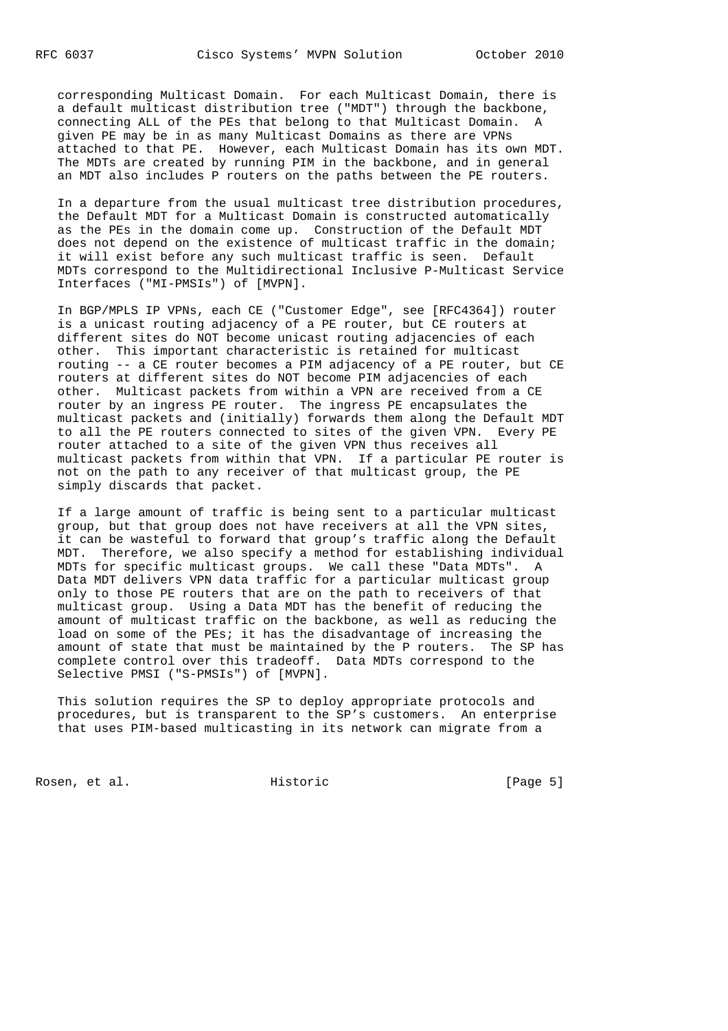corresponding Multicast Domain. For each Multicast Domain, there is a default multicast distribution tree ("MDT") through the backbone, connecting ALL of the PEs that belong to that Multicast Domain. A given PE may be in as many Multicast Domains as there are VPNs attached to that PE. However, each Multicast Domain has its own MDT. The MDTs are created by running PIM in the backbone, and in general an MDT also includes P routers on the paths between the PE routers.

 In a departure from the usual multicast tree distribution procedures, the Default MDT for a Multicast Domain is constructed automatically as the PEs in the domain come up. Construction of the Default MDT does not depend on the existence of multicast traffic in the domain; it will exist before any such multicast traffic is seen. Default MDTs correspond to the Multidirectional Inclusive P-Multicast Service Interfaces ("MI-PMSIs") of [MVPN].

 In BGP/MPLS IP VPNs, each CE ("Customer Edge", see [RFC4364]) router is a unicast routing adjacency of a PE router, but CE routers at different sites do NOT become unicast routing adjacencies of each other. This important characteristic is retained for multicast routing -- a CE router becomes a PIM adjacency of a PE router, but CE routers at different sites do NOT become PIM adjacencies of each other. Multicast packets from within a VPN are received from a CE router by an ingress PE router. The ingress PE encapsulates the multicast packets and (initially) forwards them along the Default MDT to all the PE routers connected to sites of the given VPN. Every PE router attached to a site of the given VPN thus receives all multicast packets from within that VPN. If a particular PE router is not on the path to any receiver of that multicast group, the PE simply discards that packet.

 If a large amount of traffic is being sent to a particular multicast group, but that group does not have receivers at all the VPN sites, it can be wasteful to forward that group's traffic along the Default MDT. Therefore, we also specify a method for establishing individual MDTs for specific multicast groups. We call these "Data MDTs". A Data MDT delivers VPN data traffic for a particular multicast group only to those PE routers that are on the path to receivers of that multicast group. Using a Data MDT has the benefit of reducing the amount of multicast traffic on the backbone, as well as reducing the load on some of the PEs; it has the disadvantage of increasing the amount of state that must be maintained by the P routers. The SP has complete control over this tradeoff. Data MDTs correspond to the Selective PMSI ("S-PMSIs") of [MVPN].

 This solution requires the SP to deploy appropriate protocols and procedures, but is transparent to the SP's customers. An enterprise that uses PIM-based multicasting in its network can migrate from a

Rosen, et al. Historic [Page 5]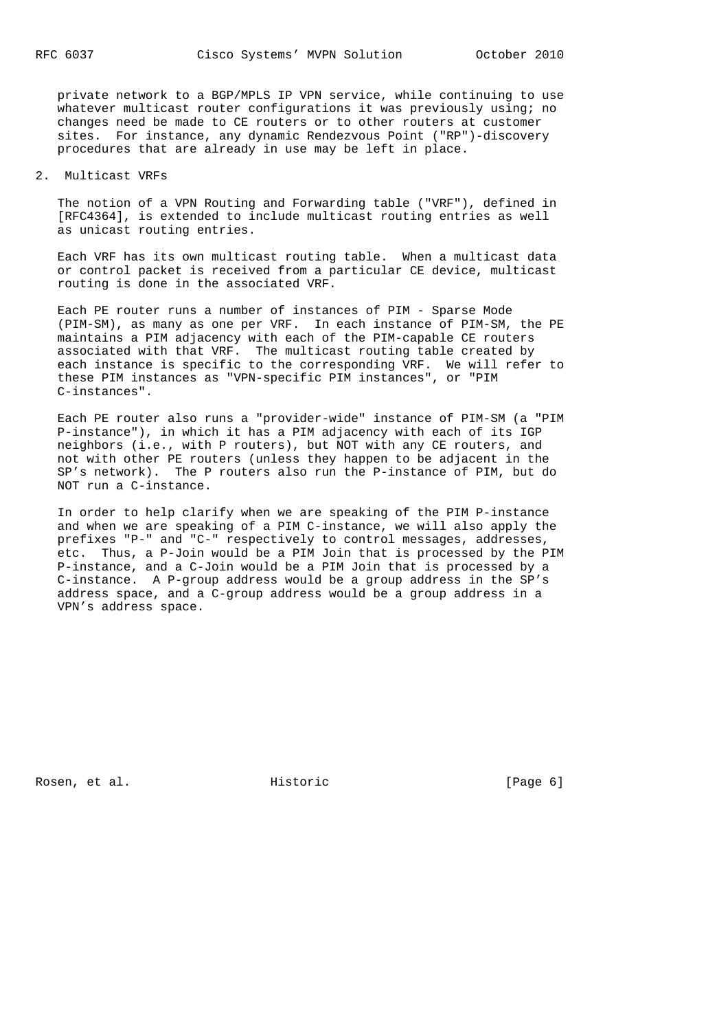private network to a BGP/MPLS IP VPN service, while continuing to use whatever multicast router configurations it was previously using; no changes need be made to CE routers or to other routers at customer sites. For instance, any dynamic Rendezvous Point ("RP")-discovery procedures that are already in use may be left in place.

## 2. Multicast VRFs

 The notion of a VPN Routing and Forwarding table ("VRF"), defined in [RFC4364], is extended to include multicast routing entries as well as unicast routing entries.

 Each VRF has its own multicast routing table. When a multicast data or control packet is received from a particular CE device, multicast routing is done in the associated VRF.

 Each PE router runs a number of instances of PIM - Sparse Mode (PIM-SM), as many as one per VRF. In each instance of PIM-SM, the PE maintains a PIM adjacency with each of the PIM-capable CE routers associated with that VRF. The multicast routing table created by each instance is specific to the corresponding VRF. We will refer to these PIM instances as "VPN-specific PIM instances", or "PIM C-instances".

 Each PE router also runs a "provider-wide" instance of PIM-SM (a "PIM P-instance"), in which it has a PIM adjacency with each of its IGP neighbors (i.e., with P routers), but NOT with any CE routers, and not with other PE routers (unless they happen to be adjacent in the SP's network). The P routers also run the P-instance of PIM, but do NOT run a C-instance.

 In order to help clarify when we are speaking of the PIM P-instance and when we are speaking of a PIM C-instance, we will also apply the prefixes "P-" and "C-" respectively to control messages, addresses, etc. Thus, a P-Join would be a PIM Join that is processed by the PIM P-instance, and a C-Join would be a PIM Join that is processed by a C-instance. A P-group address would be a group address in the SP's address space, and a C-group address would be a group address in a VPN's address space.

Rosen, et al. Historic [Page 6]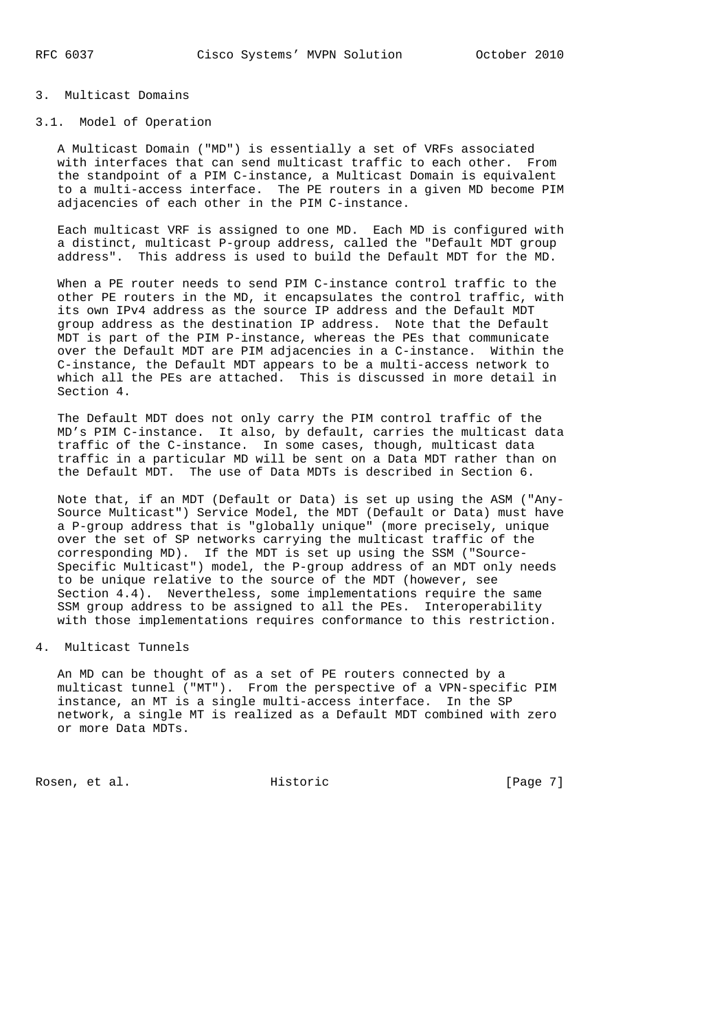## 3. Multicast Domains

## 3.1. Model of Operation

 A Multicast Domain ("MD") is essentially a set of VRFs associated with interfaces that can send multicast traffic to each other. From the standpoint of a PIM C-instance, a Multicast Domain is equivalent to a multi-access interface. The PE routers in a given MD become PIM adjacencies of each other in the PIM C-instance.

 Each multicast VRF is assigned to one MD. Each MD is configured with a distinct, multicast P-group address, called the "Default MDT group address". This address is used to build the Default MDT for the MD.

 When a PE router needs to send PIM C-instance control traffic to the other PE routers in the MD, it encapsulates the control traffic, with its own IPv4 address as the source IP address and the Default MDT group address as the destination IP address. Note that the Default MDT is part of the PIM P-instance, whereas the PEs that communicate over the Default MDT are PIM adjacencies in a C-instance. Within the C-instance, the Default MDT appears to be a multi-access network to which all the PEs are attached. This is discussed in more detail in Section 4.

 The Default MDT does not only carry the PIM control traffic of the MD's PIM C-instance. It also, by default, carries the multicast data traffic of the C-instance. In some cases, though, multicast data traffic in a particular MD will be sent on a Data MDT rather than on the Default MDT. The use of Data MDTs is described in Section 6.

 Note that, if an MDT (Default or Data) is set up using the ASM ("Any- Source Multicast") Service Model, the MDT (Default or Data) must have a P-group address that is "globally unique" (more precisely, unique over the set of SP networks carrying the multicast traffic of the corresponding MD). If the MDT is set up using the SSM ("Source- Specific Multicast") model, the P-group address of an MDT only needs to be unique relative to the source of the MDT (however, see Section 4.4). Nevertheless, some implementations require the same SSM group address to be assigned to all the PEs. Interoperability with those implementations requires conformance to this restriction.

## 4. Multicast Tunnels

 An MD can be thought of as a set of PE routers connected by a multicast tunnel ("MT"). From the perspective of a VPN-specific PIM instance, an MT is a single multi-access interface. In the SP network, a single MT is realized as a Default MDT combined with zero or more Data MDTs.

Rosen, et al. Historic [Page 7]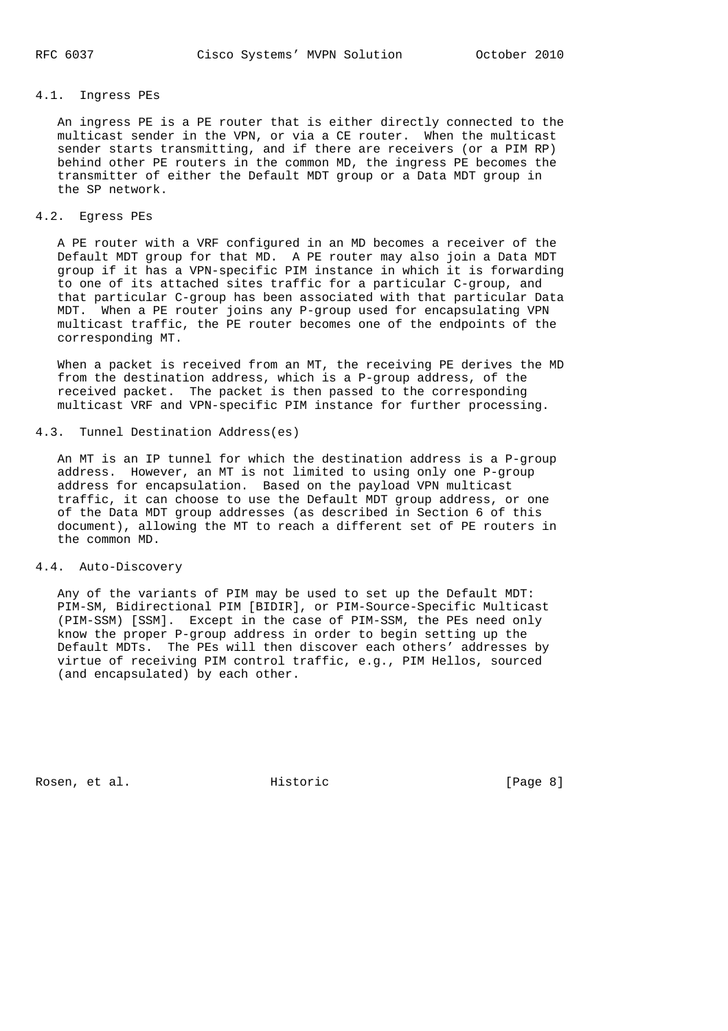## 4.1. Ingress PEs

 An ingress PE is a PE router that is either directly connected to the multicast sender in the VPN, or via a CE router. When the multicast sender starts transmitting, and if there are receivers (or a PIM RP) behind other PE routers in the common MD, the ingress PE becomes the transmitter of either the Default MDT group or a Data MDT group in the SP network.

### 4.2. Egress PEs

 A PE router with a VRF configured in an MD becomes a receiver of the Default MDT group for that MD. A PE router may also join a Data MDT group if it has a VPN-specific PIM instance in which it is forwarding to one of its attached sites traffic for a particular C-group, and that particular C-group has been associated with that particular Data MDT. When a PE router joins any P-group used for encapsulating VPN multicast traffic, the PE router becomes one of the endpoints of the corresponding MT.

 When a packet is received from an MT, the receiving PE derives the MD from the destination address, which is a P-group address, of the received packet. The packet is then passed to the corresponding multicast VRF and VPN-specific PIM instance for further processing.

## 4.3. Tunnel Destination Address(es)

 An MT is an IP tunnel for which the destination address is a P-group address. However, an MT is not limited to using only one P-group address for encapsulation. Based on the payload VPN multicast traffic, it can choose to use the Default MDT group address, or one of the Data MDT group addresses (as described in Section 6 of this document), allowing the MT to reach a different set of PE routers in the common MD.

## 4.4. Auto-Discovery

 Any of the variants of PIM may be used to set up the Default MDT: PIM-SM, Bidirectional PIM [BIDIR], or PIM-Source-Specific Multicast (PIM-SSM) [SSM]. Except in the case of PIM-SSM, the PEs need only know the proper P-group address in order to begin setting up the Default MDTs. The PEs will then discover each others' addresses by virtue of receiving PIM control traffic, e.g., PIM Hellos, sourced (and encapsulated) by each other.

Rosen, et al. The extension of the Historic Contract (Page 8)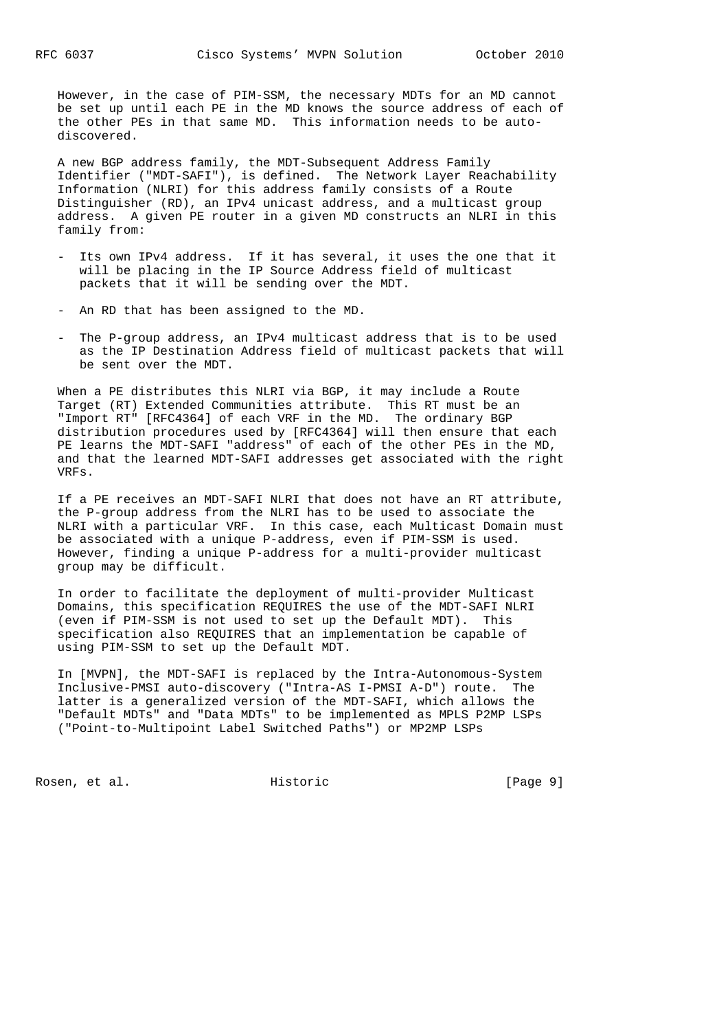However, in the case of PIM-SSM, the necessary MDTs for an MD cannot be set up until each PE in the MD knows the source address of each of the other PEs in that same MD. This information needs to be auto discovered.

 A new BGP address family, the MDT-Subsequent Address Family Identifier ("MDT-SAFI"), is defined. The Network Layer Reachability Information (NLRI) for this address family consists of a Route Distinguisher (RD), an IPv4 unicast address, and a multicast group address. A given PE router in a given MD constructs an NLRI in this family from:

- Its own IPv4 address. If it has several, it uses the one that it will be placing in the IP Source Address field of multicast packets that it will be sending over the MDT.
- An RD that has been assigned to the MD.
- The P-group address, an IPv4 multicast address that is to be used as the IP Destination Address field of multicast packets that will be sent over the MDT.

 When a PE distributes this NLRI via BGP, it may include a Route Target (RT) Extended Communities attribute. This RT must be an "Import RT" [RFC4364] of each VRF in the MD. The ordinary BGP distribution procedures used by [RFC4364] will then ensure that each PE learns the MDT-SAFI "address" of each of the other PEs in the MD, and that the learned MDT-SAFI addresses get associated with the right VRFs.

 If a PE receives an MDT-SAFI NLRI that does not have an RT attribute, the P-group address from the NLRI has to be used to associate the NLRI with a particular VRF. In this case, each Multicast Domain must be associated with a unique P-address, even if PIM-SSM is used. However, finding a unique P-address for a multi-provider multicast group may be difficult.

 In order to facilitate the deployment of multi-provider Multicast Domains, this specification REQUIRES the use of the MDT-SAFI NLRI (even if PIM-SSM is not used to set up the Default MDT). This specification also REQUIRES that an implementation be capable of using PIM-SSM to set up the Default MDT.

 In [MVPN], the MDT-SAFI is replaced by the Intra-Autonomous-System Inclusive-PMSI auto-discovery ("Intra-AS I-PMSI A-D") route. The latter is a generalized version of the MDT-SAFI, which allows the "Default MDTs" and "Data MDTs" to be implemented as MPLS P2MP LSPs ("Point-to-Multipoint Label Switched Paths") or MP2MP LSPs

Rosen, et al. Historic [Page 9]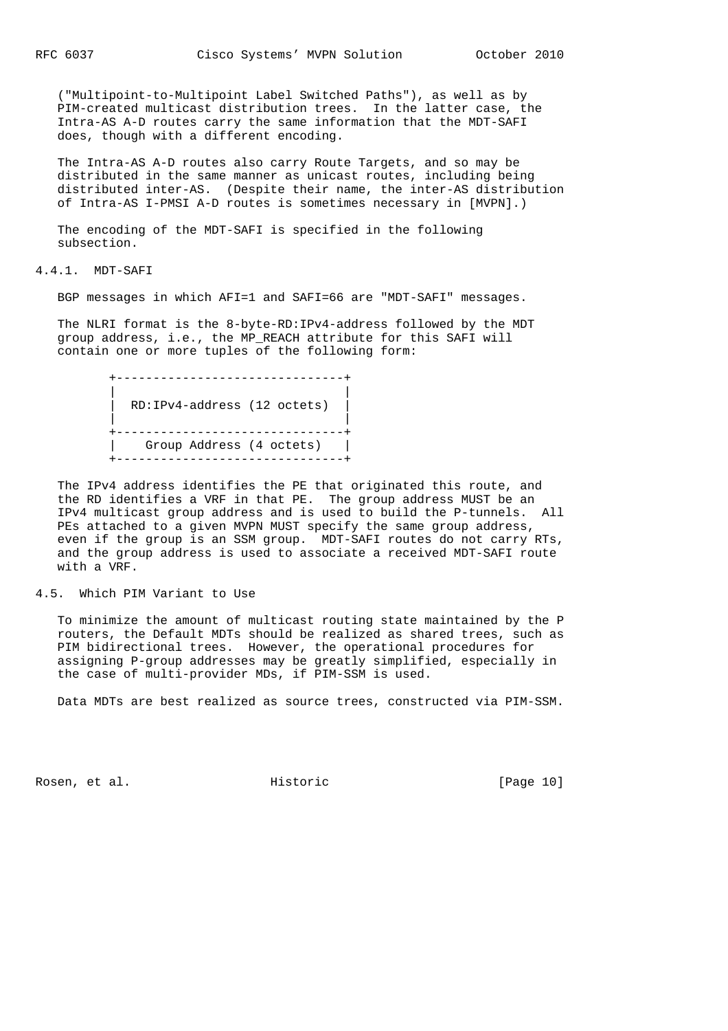("Multipoint-to-Multipoint Label Switched Paths"), as well as by PIM-created multicast distribution trees. In the latter case, the Intra-AS A-D routes carry the same information that the MDT-SAFI does, though with a different encoding.

 The Intra-AS A-D routes also carry Route Targets, and so may be distributed in the same manner as unicast routes, including being distributed inter-AS. (Despite their name, the inter-AS distribution of Intra-AS I-PMSI A-D routes is sometimes necessary in [MVPN].)

 The encoding of the MDT-SAFI is specified in the following subsection.

4.4.1. MDT-SAFI

BGP messages in which AFI=1 and SAFI=66 are "MDT-SAFI" messages.

 The NLRI format is the 8-byte-RD:IPv4-address followed by the MDT group address, i.e., the MP\_REACH attribute for this SAFI will contain one or more tuples of the following form:

 +-------------------------------+ | | | RD:IPv4-address (12 octets) | | | +-------------------------------+ | Group Address (4 octets) | .<br>+----------------------------------+

 The IPv4 address identifies the PE that originated this route, and the RD identifies a VRF in that PE. The group address MUST be an IPv4 multicast group address and is used to build the P-tunnels. All PEs attached to a given MVPN MUST specify the same group address, even if the group is an SSM group. MDT-SAFI routes do not carry RTs, and the group address is used to associate a received MDT-SAFI route with a VRF.

#### 4.5. Which PIM Variant to Use

 To minimize the amount of multicast routing state maintained by the P routers, the Default MDTs should be realized as shared trees, such as PIM bidirectional trees. However, the operational procedures for assigning P-group addresses may be greatly simplified, especially in the case of multi-provider MDs, if PIM-SSM is used.

Data MDTs are best realized as source trees, constructed via PIM-SSM.

Rosen, et al. Historic [Page 10]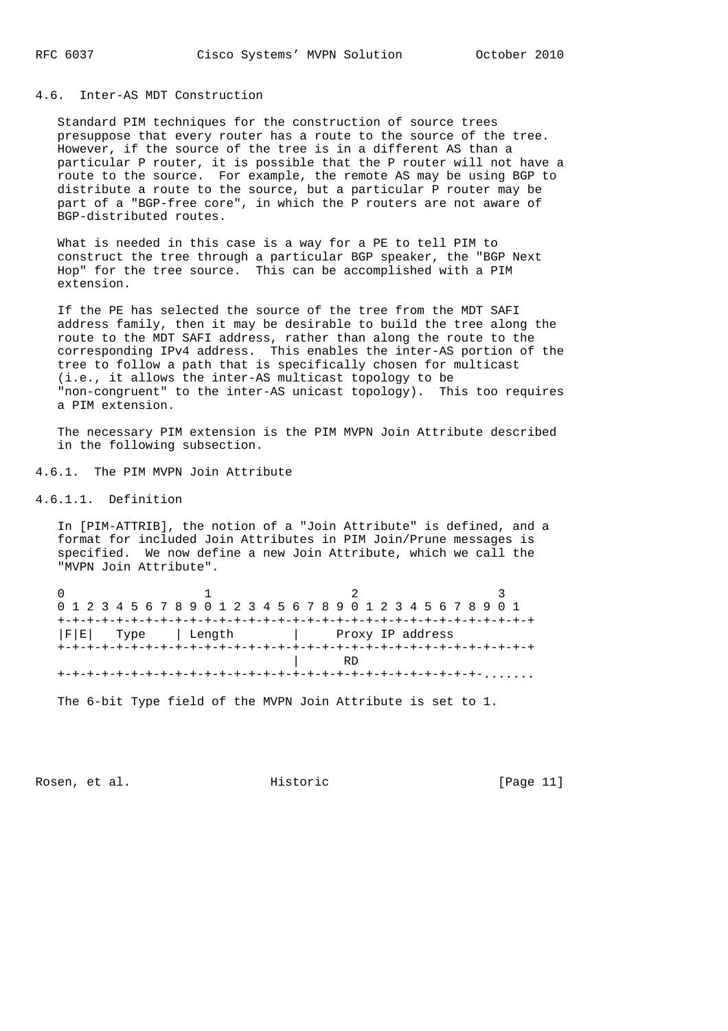## 4.6. Inter-AS MDT Construction

 Standard PIM techniques for the construction of source trees presuppose that every router has a route to the source of the tree. However, if the source of the tree is in a different AS than a particular P router, it is possible that the P router will not have a route to the source. For example, the remote AS may be using BGP to distribute a route to the source, but a particular P router may be part of a "BGP-free core", in which the P routers are not aware of BGP-distributed routes.

 What is needed in this case is a way for a PE to tell PIM to construct the tree through a particular BGP speaker, the "BGP Next Hop" for the tree source. This can be accomplished with a PIM extension.

 If the PE has selected the source of the tree from the MDT SAFI address family, then it may be desirable to build the tree along the route to the MDT SAFI address, rather than along the route to the corresponding IPv4 address. This enables the inter-AS portion of the tree to follow a path that is specifically chosen for multicast (i.e., it allows the inter-AS multicast topology to be "non-congruent" to the inter-AS unicast topology). This too requires a PIM extension.

 The necessary PIM extension is the PIM MVPN Join Attribute described in the following subsection.

4.6.1. The PIM MVPN Join Attribute

4.6.1.1. Definition

 In [PIM-ATTRIB], the notion of a "Join Attribute" is defined, and a format for included Join Attributes in PIM Join/Prune messages is specified. We now define a new Join Attribute, which we call the "MVPN Join Attribute".

|  | 0 1 2 3 4 5 6 7 8 9 0 1 2 3 4 5 6 7 8 9 0 1 2 3 4 5 6 7 8 9 0 1 |  |  |  |
|--|-----------------------------------------------------------------|--|--|--|
|  |                                                                 |  |  |  |
|  |                                                                 |  |  |  |
|  |                                                                 |  |  |  |
|  |                                                                 |  |  |  |
|  |                                                                 |  |  |  |
|  |                                                                 |  |  |  |

The 6-bit Type field of the MVPN Join Attribute is set to 1.

Rosen, et al. Historic [Page 11]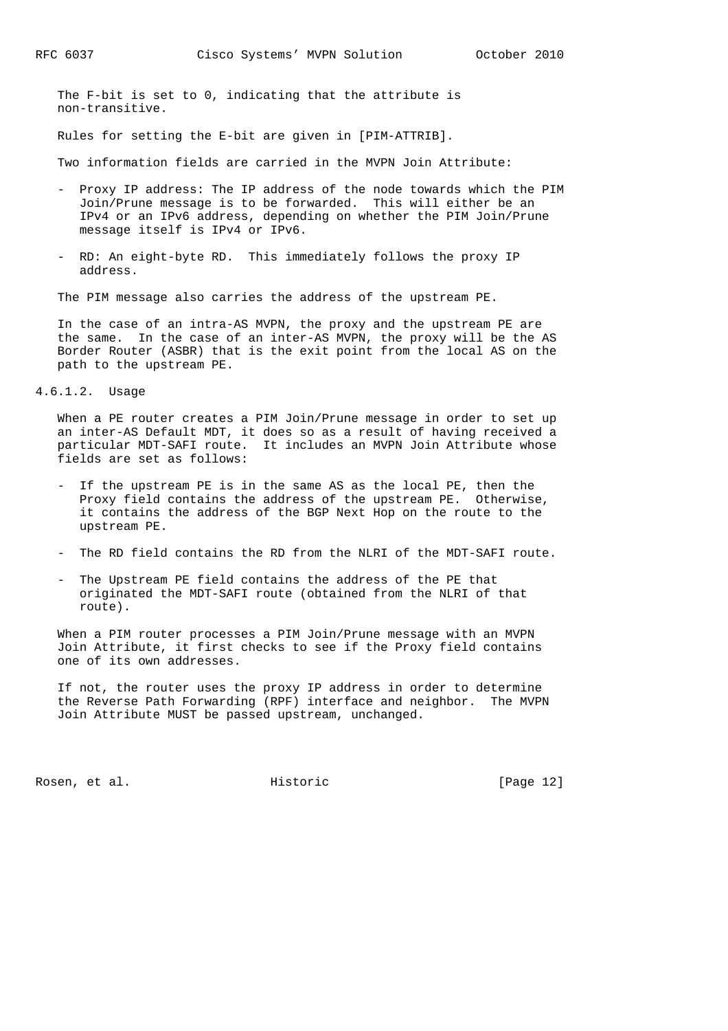The F-bit is set to 0, indicating that the attribute is non-transitive.

Rules for setting the E-bit are given in [PIM-ATTRIB].

Two information fields are carried in the MVPN Join Attribute:

- Proxy IP address: The IP address of the node towards which the PIM Join/Prune message is to be forwarded. This will either be an IPv4 or an IPv6 address, depending on whether the PIM Join/Prune message itself is IPv4 or IPv6.
- RD: An eight-byte RD. This immediately follows the proxy IP address.

The PIM message also carries the address of the upstream PE.

 In the case of an intra-AS MVPN, the proxy and the upstream PE are the same. In the case of an inter-AS MVPN, the proxy will be the AS Border Router (ASBR) that is the exit point from the local AS on the path to the upstream PE.

4.6.1.2. Usage

 When a PE router creates a PIM Join/Prune message in order to set up an inter-AS Default MDT, it does so as a result of having received a particular MDT-SAFI route. It includes an MVPN Join Attribute whose fields are set as follows:

- If the upstream PE is in the same AS as the local PE, then the Proxy field contains the address of the upstream PE. Otherwise, it contains the address of the BGP Next Hop on the route to the upstream PE.
- The RD field contains the RD from the NLRI of the MDT-SAFI route.
- The Upstream PE field contains the address of the PE that originated the MDT-SAFI route (obtained from the NLRI of that route).

 When a PIM router processes a PIM Join/Prune message with an MVPN Join Attribute, it first checks to see if the Proxy field contains one of its own addresses.

 If not, the router uses the proxy IP address in order to determine the Reverse Path Forwarding (RPF) interface and neighbor. The MVPN Join Attribute MUST be passed upstream, unchanged.

Rosen, et al. Historic [Page 12]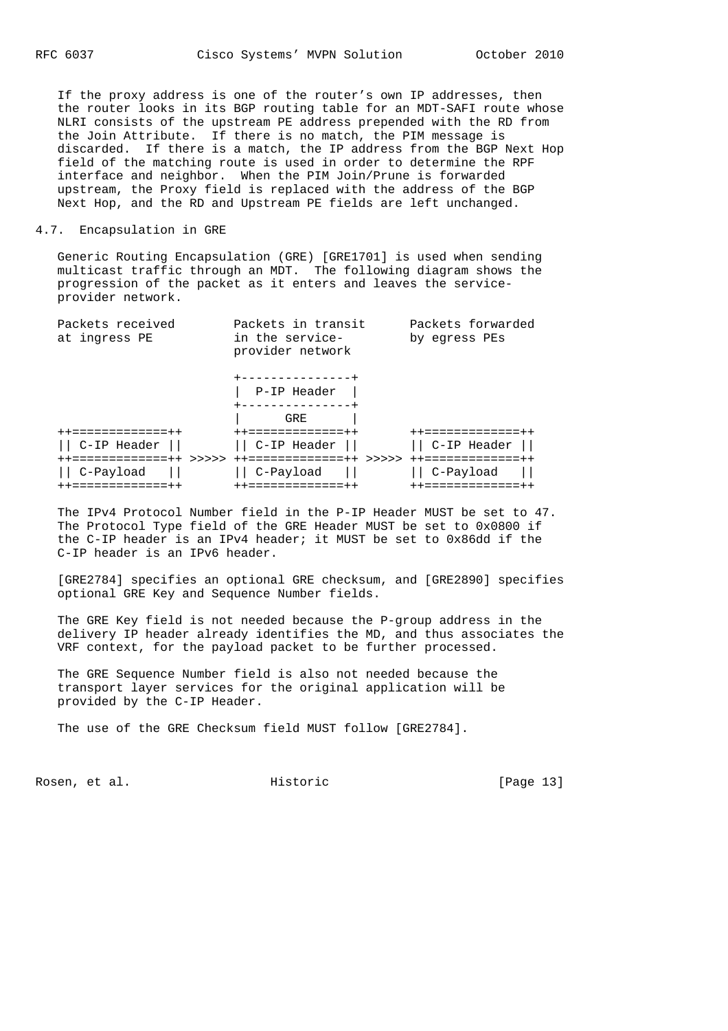If the proxy address is one of the router's own IP addresses, then the router looks in its BGP routing table for an MDT-SAFI route whose NLRI consists of the upstream PE address prepended with the RD from the Join Attribute. If there is no match, the PIM message is discarded. If there is a match, the IP address from the BGP Next Hop field of the matching route is used in order to determine the RPF interface and neighbor. When the PIM Join/Prune is forwarded upstream, the Proxy field is replaced with the address of the BGP Next Hop, and the RD and Upstream PE fields are left unchanged.

#### 4.7. Encapsulation in GRE

 Generic Routing Encapsulation (GRE) [GRE1701] is used when sending multicast traffic through an MDT. The following diagram shows the progression of the packet as it enters and leaves the service provider network.

| Packets received<br>at ingress PE | Packets in transit<br>in the service-<br>provider network | Packets forwarded<br>by eqress PEs |  |  |
|-----------------------------------|-----------------------------------------------------------|------------------------------------|--|--|
|                                   | --------------+                                           |                                    |  |  |
|                                   | P-IP Header<br>--------------+                            |                                    |  |  |
|                                   | GRE                                                       |                                    |  |  |
| ++=============++                 | ++=============++                                         | ++=============                    |  |  |
| C-IP Header                       | C-IP Header                                               | C-IP Header                        |  |  |
| =============++<br>>>>>>          | =============++<br>>>>>>                                  | ++=============++                  |  |  |
| C-Payload                         | C-Payload                                                 | C-Payload                          |  |  |
| ++=============++                 | ++=============++                                         | ++============                     |  |  |

 The IPv4 Protocol Number field in the P-IP Header MUST be set to 47. The Protocol Type field of the GRE Header MUST be set to 0x0800 if the C-IP header is an IPv4 header; it MUST be set to 0x86dd if the C-IP header is an IPv6 header.

 [GRE2784] specifies an optional GRE checksum, and [GRE2890] specifies optional GRE Key and Sequence Number fields.

 The GRE Key field is not needed because the P-group address in the delivery IP header already identifies the MD, and thus associates the VRF context, for the payload packet to be further processed.

 The GRE Sequence Number field is also not needed because the transport layer services for the original application will be provided by the C-IP Header.

The use of the GRE Checksum field MUST follow [GRE2784].

Rosen, et al. Historic [Page 13]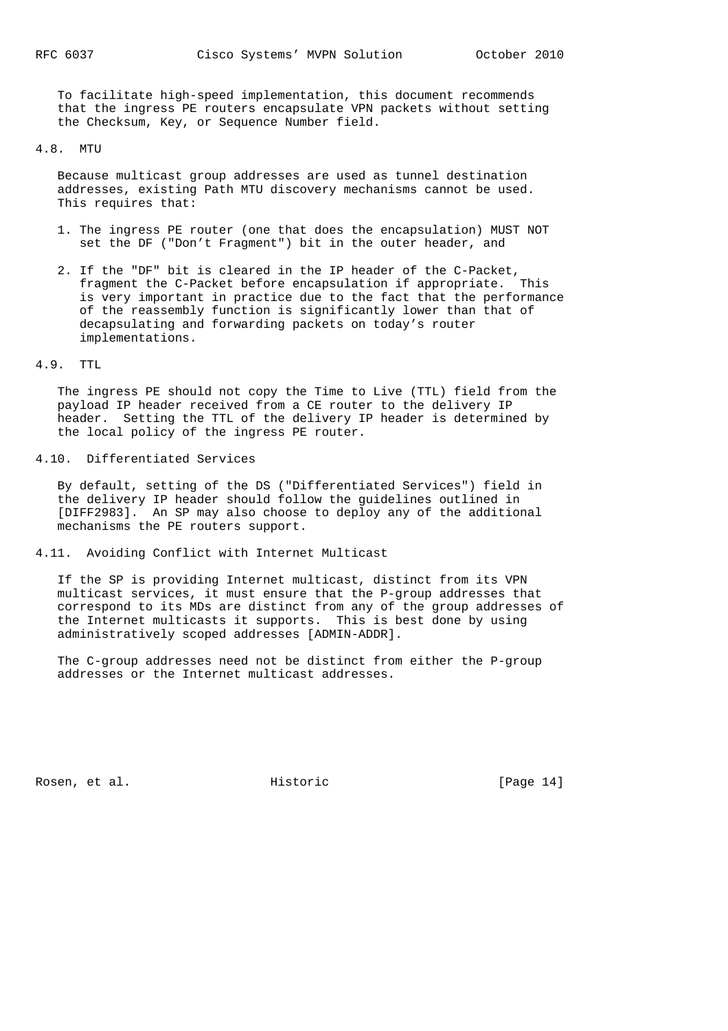To facilitate high-speed implementation, this document recommends that the ingress PE routers encapsulate VPN packets without setting the Checksum, Key, or Sequence Number field.

#### 4.8. MTU

 Because multicast group addresses are used as tunnel destination addresses, existing Path MTU discovery mechanisms cannot be used. This requires that:

- 1. The ingress PE router (one that does the encapsulation) MUST NOT set the DF ("Don't Fragment") bit in the outer header, and
- 2. If the "DF" bit is cleared in the IP header of the C-Packet, fragment the C-Packet before encapsulation if appropriate. This is very important in practice due to the fact that the performance of the reassembly function is significantly lower than that of decapsulating and forwarding packets on today's router implementations.

### 4.9. TTL

 The ingress PE should not copy the Time to Live (TTL) field from the payload IP header received from a CE router to the delivery IP header. Setting the TTL of the delivery IP header is determined by the local policy of the ingress PE router.

## 4.10. Differentiated Services

 By default, setting of the DS ("Differentiated Services") field in the delivery IP header should follow the guidelines outlined in [DIFF2983]. An SP may also choose to deploy any of the additional mechanisms the PE routers support.

## 4.11. Avoiding Conflict with Internet Multicast

 If the SP is providing Internet multicast, distinct from its VPN multicast services, it must ensure that the P-group addresses that correspond to its MDs are distinct from any of the group addresses of the Internet multicasts it supports. This is best done by using administratively scoped addresses [ADMIN-ADDR].

 The C-group addresses need not be distinct from either the P-group addresses or the Internet multicast addresses.

Rosen, et al. Historic [Page 14]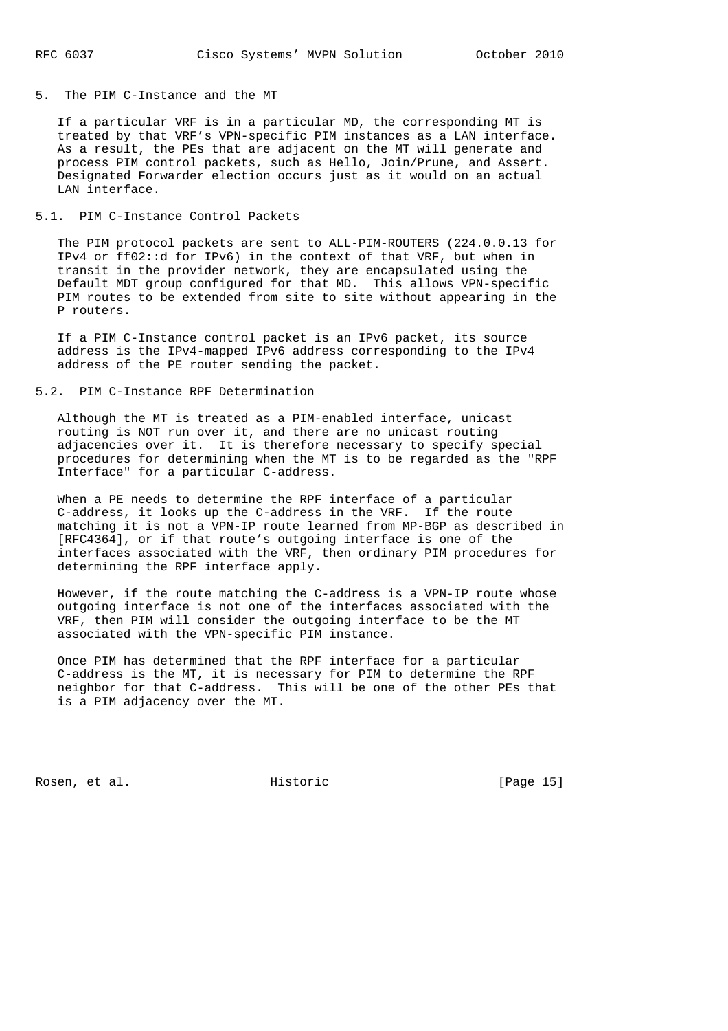#### 5. The PIM C-Instance and the MT

 If a particular VRF is in a particular MD, the corresponding MT is treated by that VRF's VPN-specific PIM instances as a LAN interface. As a result, the PEs that are adjacent on the MT will generate and process PIM control packets, such as Hello, Join/Prune, and Assert. Designated Forwarder election occurs just as it would on an actual LAN interface.

### 5.1. PIM C-Instance Control Packets

 The PIM protocol packets are sent to ALL-PIM-ROUTERS (224.0.0.13 for IPv4 or ff02::d for IPv6) in the context of that VRF, but when in transit in the provider network, they are encapsulated using the Default MDT group configured for that MD. This allows VPN-specific PIM routes to be extended from site to site without appearing in the P routers.

 If a PIM C-Instance control packet is an IPv6 packet, its source address is the IPv4-mapped IPv6 address corresponding to the IPv4 address of the PE router sending the packet.

## 5.2. PIM C-Instance RPF Determination

 Although the MT is treated as a PIM-enabled interface, unicast routing is NOT run over it, and there are no unicast routing adjacencies over it. It is therefore necessary to specify special procedures for determining when the MT is to be regarded as the "RPF Interface" for a particular C-address.

 When a PE needs to determine the RPF interface of a particular C-address, it looks up the C-address in the VRF. If the route matching it is not a VPN-IP route learned from MP-BGP as described in [RFC4364], or if that route's outgoing interface is one of the interfaces associated with the VRF, then ordinary PIM procedures for determining the RPF interface apply.

 However, if the route matching the C-address is a VPN-IP route whose outgoing interface is not one of the interfaces associated with the VRF, then PIM will consider the outgoing interface to be the MT associated with the VPN-specific PIM instance.

 Once PIM has determined that the RPF interface for a particular C-address is the MT, it is necessary for PIM to determine the RPF neighbor for that C-address. This will be one of the other PEs that is a PIM adjacency over the MT.

Rosen, et al. Historic [Page 15]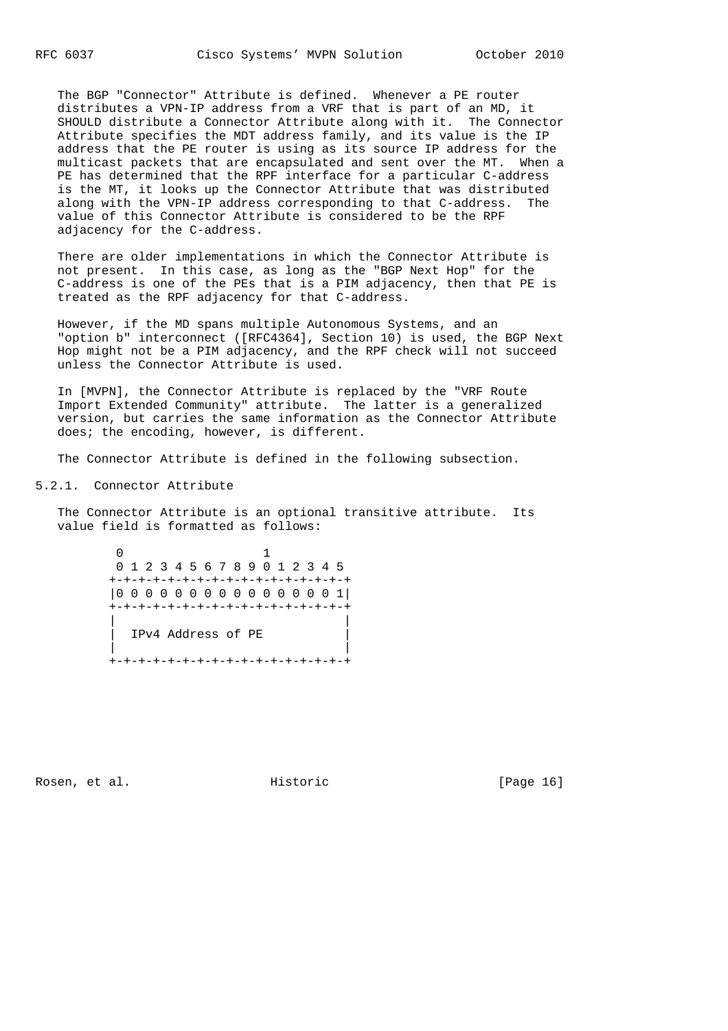The BGP "Connector" Attribute is defined. Whenever a PE router distributes a VPN-IP address from a VRF that is part of an MD, it SHOULD distribute a Connector Attribute along with it. The Connector Attribute specifies the MDT address family, and its value is the IP address that the PE router is using as its source IP address for the multicast packets that are encapsulated and sent over the MT. When a PE has determined that the RPF interface for a particular C-address is the MT, it looks up the Connector Attribute that was distributed along with the VPN-IP address corresponding to that C-address. The value of this Connector Attribute is considered to be the RPF adjacency for the C-address.

 There are older implementations in which the Connector Attribute is not present. In this case, as long as the "BGP Next Hop" for the C-address is one of the PEs that is a PIM adjacency, then that PE is treated as the RPF adjacency for that C-address.

 However, if the MD spans multiple Autonomous Systems, and an "option b" interconnect ([RFC4364], Section 10) is used, the BGP Next Hop might not be a PIM adjacency, and the RPF check will not succeed unless the Connector Attribute is used.

 In [MVPN], the Connector Attribute is replaced by the "VRF Route Import Extended Community" attribute. The latter is a generalized version, but carries the same information as the Connector Attribute does; the encoding, however, is different.

The Connector Attribute is defined in the following subsection.

5.2.1. Connector Attribute

 The Connector Attribute is an optional transitive attribute. Its value field is formatted as follows:



Rosen, et al. Historic [Page 16]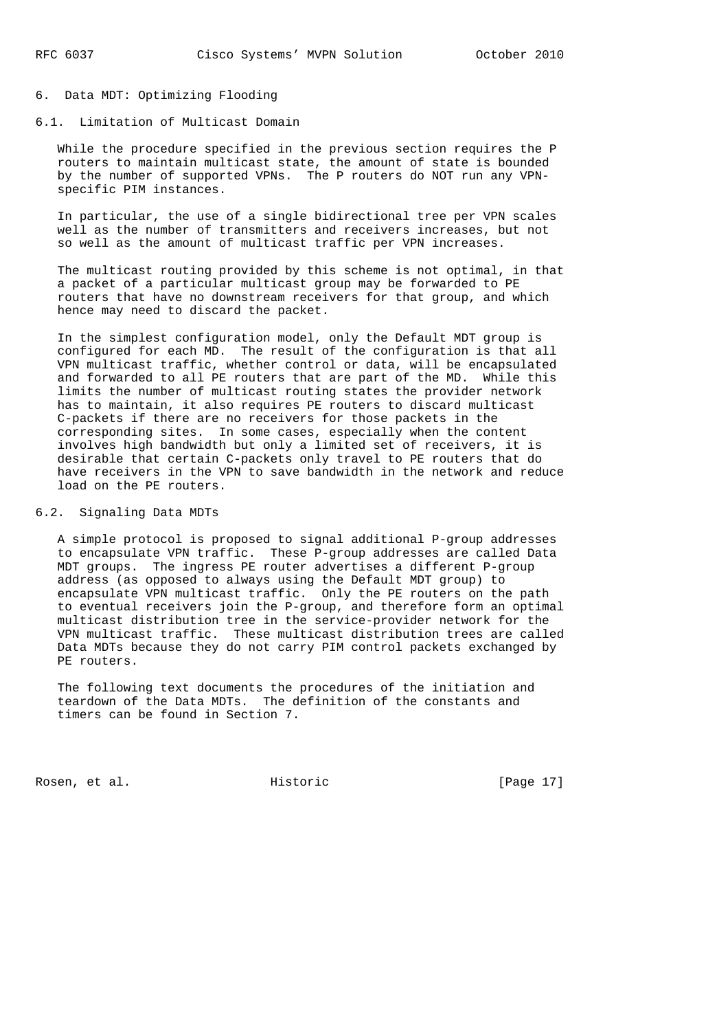## 6. Data MDT: Optimizing Flooding

## 6.1. Limitation of Multicast Domain

 While the procedure specified in the previous section requires the P routers to maintain multicast state, the amount of state is bounded by the number of supported VPNs. The P routers do NOT run any VPN specific PIM instances.

 In particular, the use of a single bidirectional tree per VPN scales well as the number of transmitters and receivers increases, but not so well as the amount of multicast traffic per VPN increases.

 The multicast routing provided by this scheme is not optimal, in that a packet of a particular multicast group may be forwarded to PE routers that have no downstream receivers for that group, and which hence may need to discard the packet.

 In the simplest configuration model, only the Default MDT group is configured for each MD. The result of the configuration is that all VPN multicast traffic, whether control or data, will be encapsulated and forwarded to all PE routers that are part of the MD. While this limits the number of multicast routing states the provider network has to maintain, it also requires PE routers to discard multicast C-packets if there are no receivers for those packets in the corresponding sites. In some cases, especially when the content involves high bandwidth but only a limited set of receivers, it is desirable that certain C-packets only travel to PE routers that do have receivers in the VPN to save bandwidth in the network and reduce load on the PE routers.

#### 6.2. Signaling Data MDTs

 A simple protocol is proposed to signal additional P-group addresses to encapsulate VPN traffic. These P-group addresses are called Data MDT groups. The ingress PE router advertises a different P-group address (as opposed to always using the Default MDT group) to encapsulate VPN multicast traffic. Only the PE routers on the path to eventual receivers join the P-group, and therefore form an optimal multicast distribution tree in the service-provider network for the VPN multicast traffic. These multicast distribution trees are called Data MDTs because they do not carry PIM control packets exchanged by PE routers.

 The following text documents the procedures of the initiation and teardown of the Data MDTs. The definition of the constants and timers can be found in Section 7.

Rosen, et al. Historic [Page 17]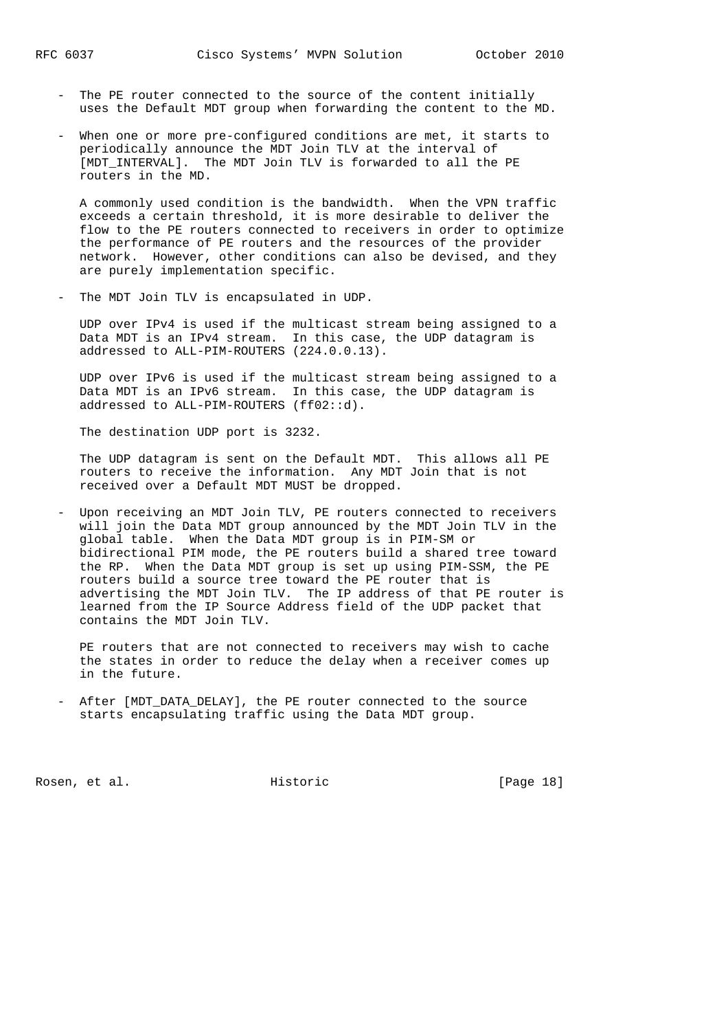- The PE router connected to the source of the content initially uses the Default MDT group when forwarding the content to the MD.
- When one or more pre-configured conditions are met, it starts to periodically announce the MDT Join TLV at the interval of [MDT INTERVAL]. The MDT Join TLV is forwarded to all the PE routers in the MD.

 A commonly used condition is the bandwidth. When the VPN traffic exceeds a certain threshold, it is more desirable to deliver the flow to the PE routers connected to receivers in order to optimize the performance of PE routers and the resources of the provider network. However, other conditions can also be devised, and they are purely implementation specific.

- The MDT Join TLV is encapsulated in UDP.

 UDP over IPv4 is used if the multicast stream being assigned to a Data MDT is an IPv4 stream. In this case, the UDP datagram is addressed to ALL-PIM-ROUTERS (224.0.0.13).

 UDP over IPv6 is used if the multicast stream being assigned to a Data MDT is an IPv6 stream. In this case, the UDP datagram is addressed to ALL-PIM-ROUTERS (ff02::d).

The destination UDP port is 3232.

 The UDP datagram is sent on the Default MDT. This allows all PE routers to receive the information. Any MDT Join that is not received over a Default MDT MUST be dropped.

 - Upon receiving an MDT Join TLV, PE routers connected to receivers will join the Data MDT group announced by the MDT Join TLV in the global table. When the Data MDT group is in PIM-SM or bidirectional PIM mode, the PE routers build a shared tree toward the RP. When the Data MDT group is set up using PIM-SSM, the PE routers build a source tree toward the PE router that is advertising the MDT Join TLV. The IP address of that PE router is learned from the IP Source Address field of the UDP packet that contains the MDT Join TLV.

 PE routers that are not connected to receivers may wish to cache the states in order to reduce the delay when a receiver comes up in the future.

 - After [MDT\_DATA\_DELAY], the PE router connected to the source starts encapsulating traffic using the Data MDT group.

Rosen, et al. Historic [Page 18]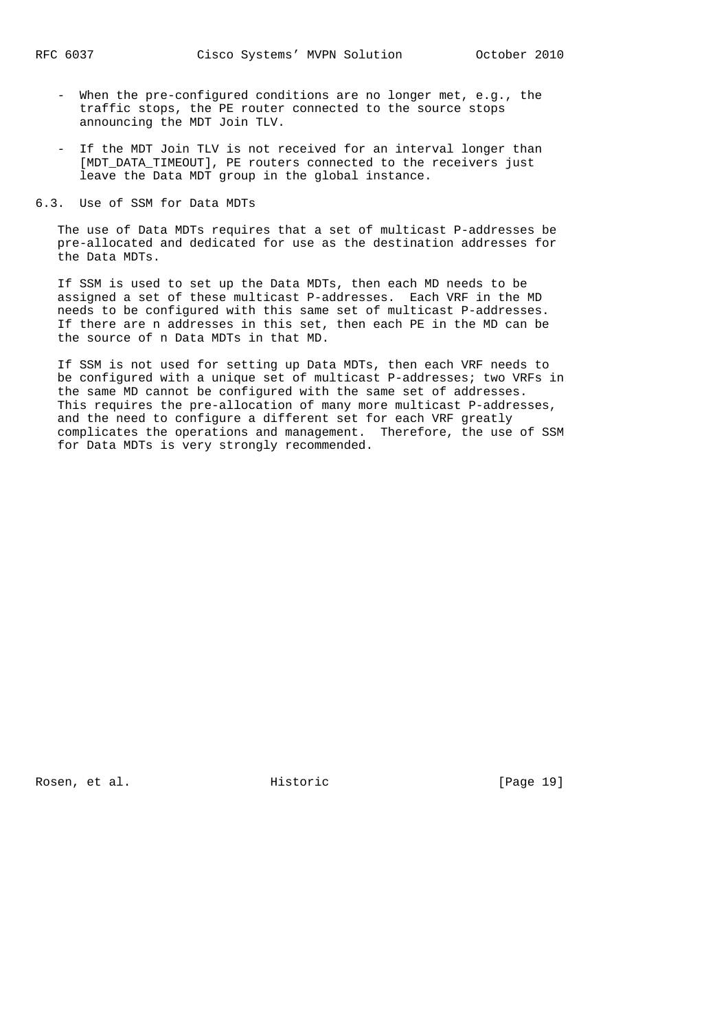- When the pre-configured conditions are no longer met, e.g., the traffic stops, the PE router connected to the source stops announcing the MDT Join TLV.
- If the MDT Join TLV is not received for an interval longer than [MDT DATA TIMEOUT], PE routers connected to the receivers just leave the Data MDT group in the global instance.
- 6.3. Use of SSM for Data MDTs

 The use of Data MDTs requires that a set of multicast P-addresses be pre-allocated and dedicated for use as the destination addresses for the Data MDTs.

 If SSM is used to set up the Data MDTs, then each MD needs to be assigned a set of these multicast P-addresses. Each VRF in the MD needs to be configured with this same set of multicast P-addresses. If there are n addresses in this set, then each PE in the MD can be the source of n Data MDTs in that MD.

 If SSM is not used for setting up Data MDTs, then each VRF needs to be configured with a unique set of multicast P-addresses; two VRFs in the same MD cannot be configured with the same set of addresses. This requires the pre-allocation of many more multicast P-addresses, and the need to configure a different set for each VRF greatly complicates the operations and management. Therefore, the use of SSM for Data MDTs is very strongly recommended.

Rosen, et al. Historic [Page 19]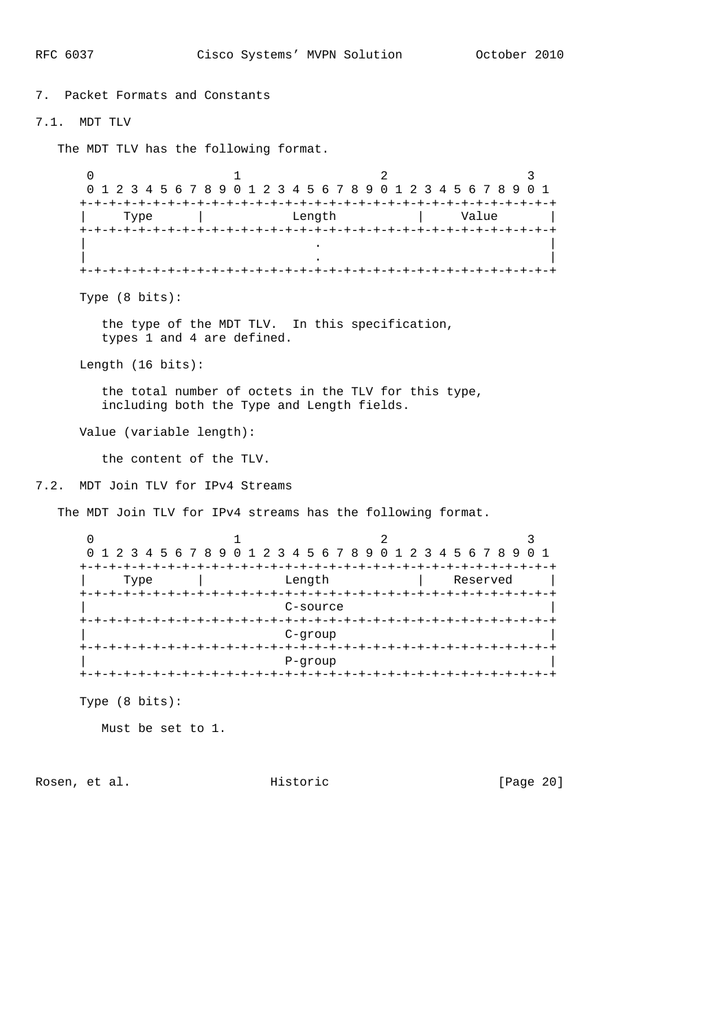7. Packet Formats and Constants 7.1. MDT TLV The MDT TLV has the following format.  $0$  1 2 3 0 1 2 3 4 5 6 7 8 9 0 1 2 3 4 5 6 7 8 9 0 1 2 3 4 5 6 7 8 9 0 1 +-+-+-+-+-+-+-+-+-+-+-+-+-+-+-+-+-+-+-+-+-+-+-+-+-+-+-+-+-+-+-+-+ Type | Length | Value +-+-+-+-+-+-+-+-+-+-+-+-+-+-+-+-+-+-+-+-+-+-+-+-+-+-+-+-+-+-+-+-+ | . | | . | +-+-+-+-+-+-+-+-+-+-+-+-+-+-+-+-+-+-+-+-+-+-+-+-+-+-+-+-+-+-+-+-+ Type (8 bits): the type of the MDT TLV. In this specification, types 1 and 4 are defined. Length (16 bits): the total number of octets in the TLV for this type, including both the Type and Length fields. Value (variable length): the content of the TLV. 7.2. MDT Join TLV for IPv4 Streams The MDT Join TLV for IPv4 streams has the following format.  $0$  1 2 3 0 1 2 3 4 5 6 7 8 9 0 1 2 3 4 5 6 7 8 9 0 1 2 3 4 5 6 7 8 9 0 1 +-+-+-+-+-+-+-+-+-+-+-+-+-+-+-+-+-+-+-+-+-+-+-+-+-+-+-+-+-+-+-+-+ | Type | Length | Reserved | +-+-+-+-+-+-+-+-+-+-+-+-+-+-+-+-+-+-+-+-+-+-+-+-+-+-+-+-+-+-+-+-+ C-source +-+-+-+-+-+-+-+-+-+-+-+-+-+-+-+-+-+-+-+-+-+-+-+-+-+-+-+-+-+-+-+-+ | C-group | +-+-+-+-+-+-+-+-+-+-+-+-+-+-+-+-+-+-+-+-+-+-+-+-+-+-+-+-+-+-+-+-+ | P-group | +-+-+-+-+-+-+-+-+-+-+-+-+-+-+-+-+-+-+-+-+-+-+-+-+-+-+-+-+-+-+-+-+ Type (8 bits):

Must be set to 1.

Rosen, et al. Historic [Page 20]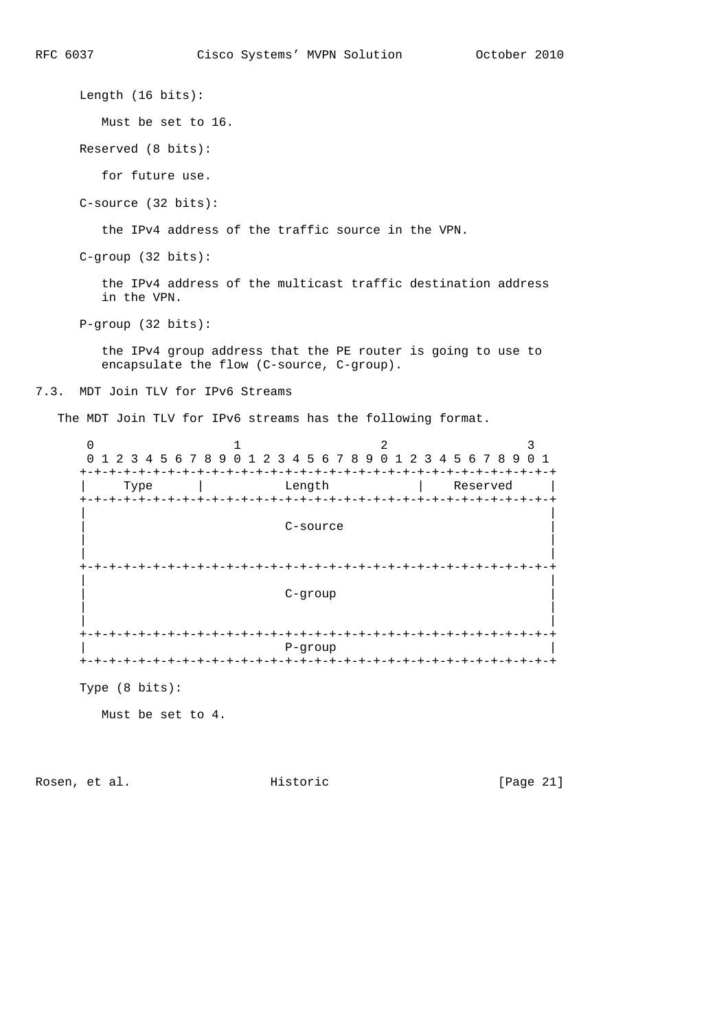Length (16 bits):

Must be set to 16.

Reserved (8 bits):

for future use.

C-source (32 bits):

the IPv4 address of the traffic source in the VPN.

C-group (32 bits):

 the IPv4 address of the multicast traffic destination address in the VPN.

P-group (32 bits):

 the IPv4 group address that the PE router is going to use to encapsulate the flow (C-source, C-group).

7.3. MDT Join TLV for IPv6 Streams

The MDT Join TLV for IPv6 streams has the following format.

| 0<br>$\Omega$                                | 1 2 3 4 5 6 7 8 9 0 1                    | 2<br>2 3 4 5 6 7 8 9 0 1    | 2 3 4 5 6 7 8 9                | 3<br>0 <sub>1</sub> |
|----------------------------------------------|------------------------------------------|-----------------------------|--------------------------------|---------------------|
| $+-+$<br>Type<br>$+ - + - + - + - +$<br>$+-$ | Length<br>+-+-+-+-+-+-+-+-+-+-+-+-+-+-+- |                             | Reserved<br>-+-+-+-+-+-+-+-+-+ | - +<br>$-+$         |
|                                              |                                          | C-source                    |                                |                     |
|                                              |                                          | $C-$ qroup                  |                                |                     |
| $+ - + - + - + - + - + -$<br>$+-$            |                                          | P-group<br>+-+-+-+-+-+-+-+- |                                | - +                 |

Type (8 bits):

Must be set to 4.

Rosen, et al. Historic [Page 21]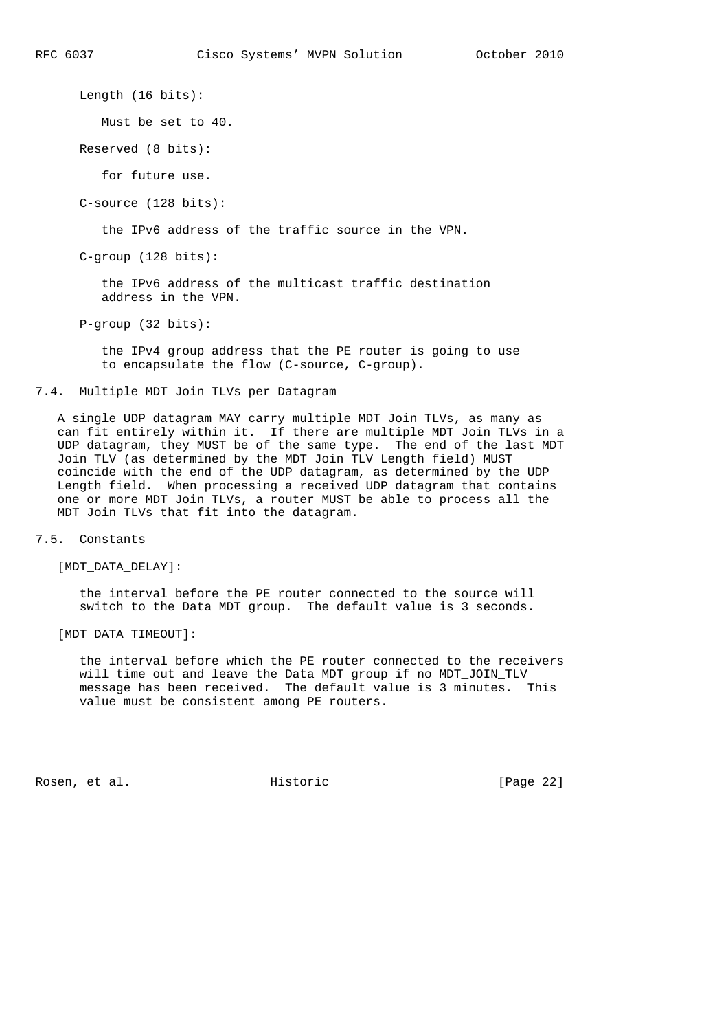Length (16 bits):

Must be set to 40.

Reserved (8 bits):

for future use.

C-source (128 bits):

the IPv6 address of the traffic source in the VPN.

C-group (128 bits):

 the IPv6 address of the multicast traffic destination address in the VPN.

P-group (32 bits):

 the IPv4 group address that the PE router is going to use to encapsulate the flow (C-source, C-group).

7.4. Multiple MDT Join TLVs per Datagram

 A single UDP datagram MAY carry multiple MDT Join TLVs, as many as can fit entirely within it. If there are multiple MDT Join TLVs in a UDP datagram, they MUST be of the same type. The end of the last MDT Join TLV (as determined by the MDT Join TLV Length field) MUST coincide with the end of the UDP datagram, as determined by the UDP Length field. When processing a received UDP datagram that contains one or more MDT Join TLVs, a router MUST be able to process all the MDT Join TLVs that fit into the datagram.

7.5. Constants

[MDT\_DATA\_DELAY]:

 the interval before the PE router connected to the source will switch to the Data MDT group. The default value is 3 seconds.

[MDT\_DATA\_TIMEOUT]:

 the interval before which the PE router connected to the receivers will time out and leave the Data MDT group if no MDT\_JOIN\_TLV message has been received. The default value is 3 minutes. This value must be consistent among PE routers.

Rosen, et al. Historic [Page 22]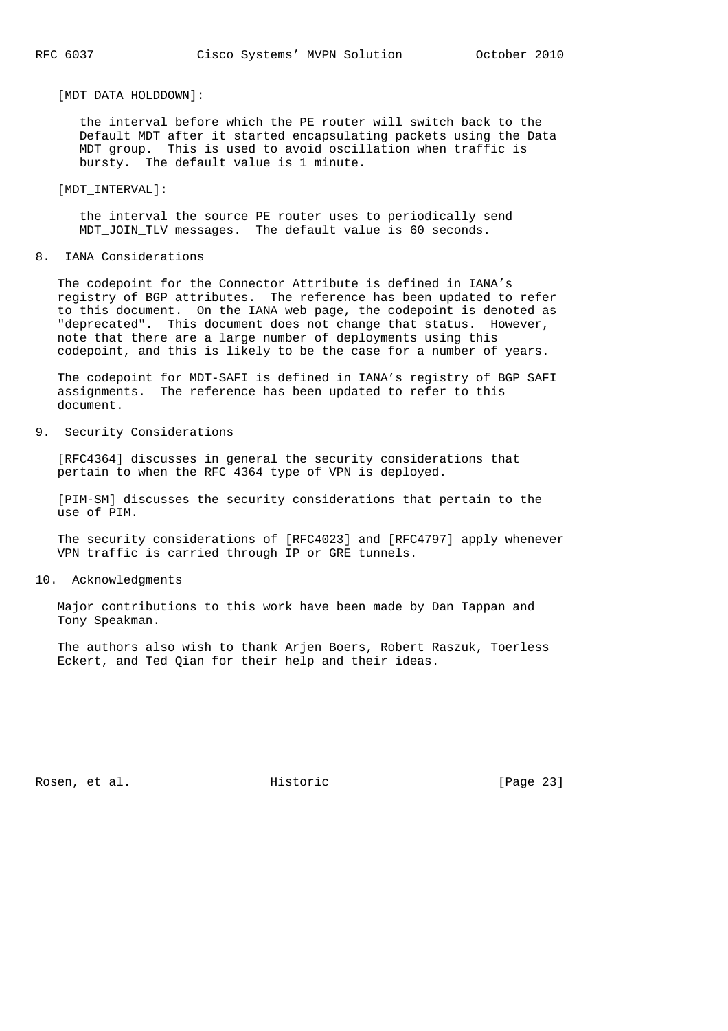#### [MDT\_DATA\_HOLDDOWN]:

 the interval before which the PE router will switch back to the Default MDT after it started encapsulating packets using the Data MDT group. This is used to avoid oscillation when traffic is bursty. The default value is 1 minute.

#### [MDT\_INTERVAL]:

 the interval the source PE router uses to periodically send MDT JOIN TLV messages. The default value is 60 seconds.

#### 8. IANA Considerations

 The codepoint for the Connector Attribute is defined in IANA's registry of BGP attributes. The reference has been updated to refer to this document. On the IANA web page, the codepoint is denoted as "deprecated". This document does not change that status. However, note that there are a large number of deployments using this codepoint, and this is likely to be the case for a number of years.

 The codepoint for MDT-SAFI is defined in IANA's registry of BGP SAFI assignments. The reference has been updated to refer to this document.

## 9. Security Considerations

 [RFC4364] discusses in general the security considerations that pertain to when the RFC 4364 type of VPN is deployed.

 [PIM-SM] discusses the security considerations that pertain to the use of PIM.

 The security considerations of [RFC4023] and [RFC4797] apply whenever VPN traffic is carried through IP or GRE tunnels.

#### 10. Acknowledgments

 Major contributions to this work have been made by Dan Tappan and Tony Speakman.

 The authors also wish to thank Arjen Boers, Robert Raszuk, Toerless Eckert, and Ted Qian for their help and their ideas.

Rosen, et al. Historic [Page 23]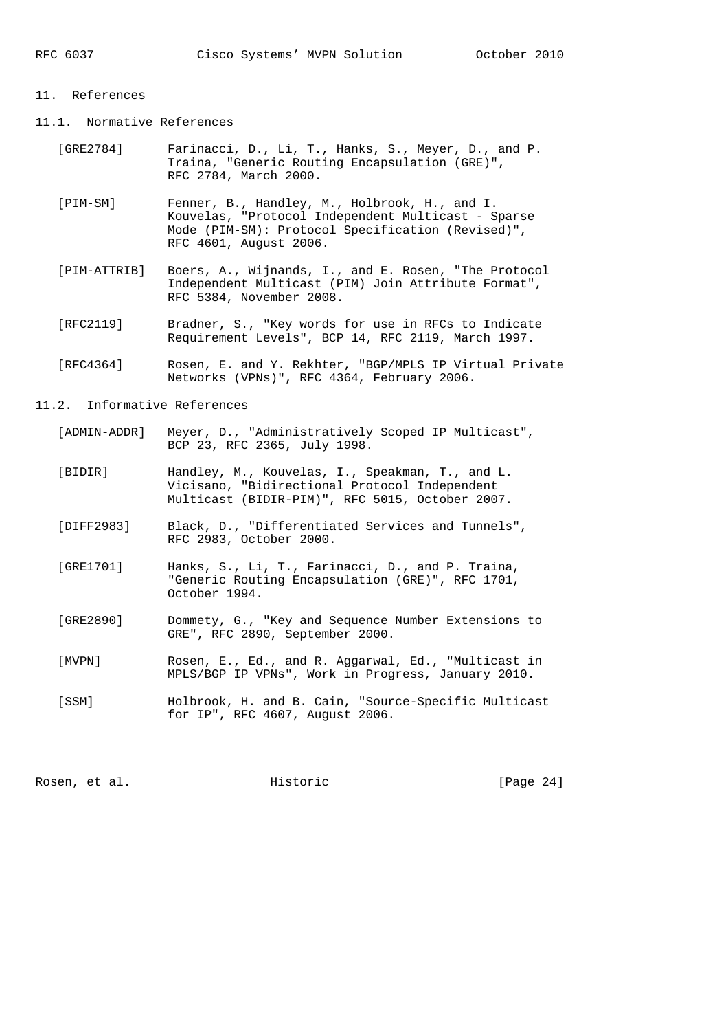#### 11. References

- 11.1. Normative References
	- [GRE2784] Farinacci, D., Li, T., Hanks, S., Meyer, D., and P. Traina, "Generic Routing Encapsulation (GRE)", RFC 2784, March 2000.
	- [PIM-SM] Fenner, B., Handley, M., Holbrook, H., and I. Kouvelas, "Protocol Independent Multicast - Sparse Mode (PIM-SM): Protocol Specification (Revised)", RFC 4601, August 2006.
	- [PIM-ATTRIB] Boers, A., Wijnands, I., and E. Rosen, "The Protocol Independent Multicast (PIM) Join Attribute Format", RFC 5384, November 2008.
	- [RFC2119] Bradner, S., "Key words for use in RFCs to Indicate Requirement Levels", BCP 14, RFC 2119, March 1997.
	- [RFC4364] Rosen, E. and Y. Rekhter, "BGP/MPLS IP Virtual Private Networks (VPNs)", RFC 4364, February 2006.

11.2. Informative References

- [ADMIN-ADDR] Meyer, D., "Administratively Scoped IP Multicast", BCP 23, RFC 2365, July 1998.
- [BIDIR] Handley, M., Kouvelas, I., Speakman, T., and L. Vicisano, "Bidirectional Protocol Independent Multicast (BIDIR-PIM)", RFC 5015, October 2007.
- [DIFF2983] Black, D., "Differentiated Services and Tunnels", RFC 2983, October 2000.
- [GRE1701] Hanks, S., Li, T., Farinacci, D., and P. Traina, "Generic Routing Encapsulation (GRE)", RFC 1701, October 1994.
- [GRE2890] Dommety, G., "Key and Sequence Number Extensions to GRE", RFC 2890, September 2000.
- [MVPN] Rosen, E., Ed., and R. Aggarwal, Ed., "Multicast in MPLS/BGP IP VPNs", Work in Progress, January 2010.
- [SSM] Holbrook, H. and B. Cain, "Source-Specific Multicast for IP", RFC 4607, August 2006.

Rosen, et al. Historic [Page 24]